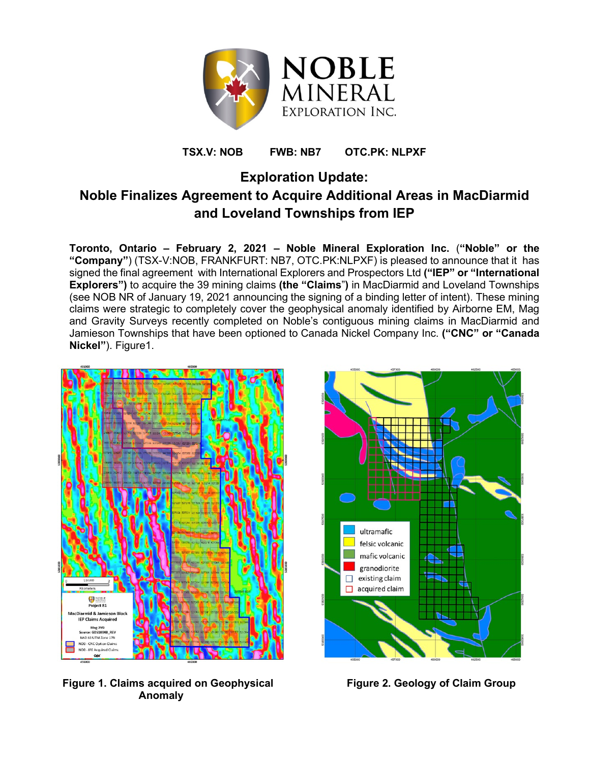

# **TSX.V: NOB FWB: NB7 OTC.PK: NLPXF**

# **Exploration Update: Noble Finalizes Agreement to Acquire Additional Areas in MacDiarmid and Loveland Townships from IEP**

**Toronto, Ontario – February 2, 2021 – Noble Mineral Exploration Inc.** (**"Noble" or the "Company"**) (TSX-V:NOB, FRANKFURT: NB7, OTC.PK:NLPXF) is pleased to announce that it has signed the final agreement with International Explorers and Prospectors Ltd **("IEP" or "International Explorers")** to acquire the 39 mining claims **(the "Claims**"**)** in MacDiarmid and Loveland Townships (see NOB NR of January 19, 2021 announcing the signing of a binding letter of intent). These mining claims were strategic to completely cover the geophysical anomaly identified by Airborne EM, Mag and Gravity Surveys recently completed on Noble's contiguous mining claims in MacDiarmid and Jamieson Townships that have been optioned to Canada Nickel Company Inc. **("CNC" or "Canada Nickel"**). Figure1.



Figure 1. Claims acquired on Geophysical **Figure 2. Geology of Claim Group Anomaly**

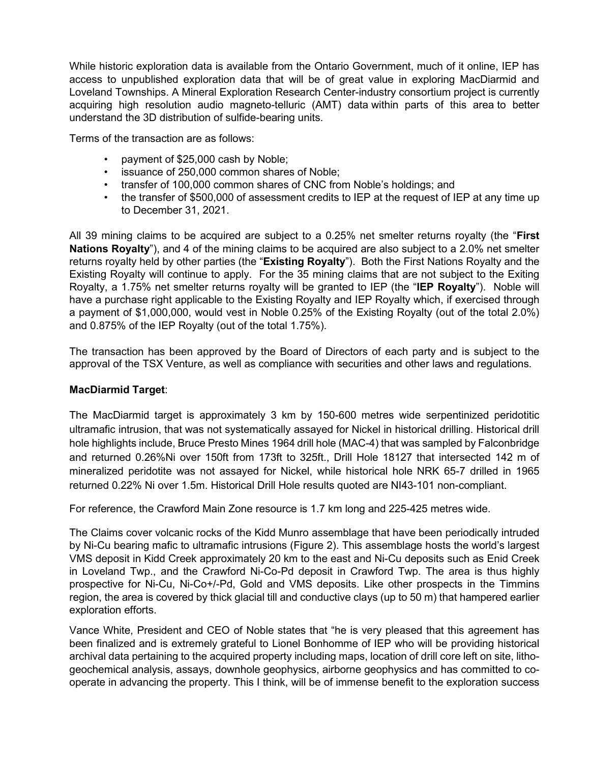While historic exploration data is available from the Ontario Government, much of it online, IEP has access to unpublished exploration data that will be of great value in exploring MacDiarmid and Loveland Townships. A Mineral Exploration Research Center-industry consortium project is currently acquiring high resolution audio magneto-telluric (AMT) data within parts of this area to better understand the 3D distribution of sulfide-bearing units.

Terms of the transaction are as follows:

- payment of \$25,000 cash by Noble;
- issuance of 250,000 common shares of Noble;
- transfer of 100,000 common shares of CNC from Noble's holdings; and
- the transfer of \$500,000 of assessment credits to IEP at the request of IEP at any time up to December 31, 2021.

All 39 mining claims to be acquired are subject to a 0.25% net smelter returns royalty (the "**First Nations Royalty**"), and 4 of the mining claims to be acquired are also subject to a 2.0% net smelter returns royalty held by other parties (the "**Existing Royalty**"). Both the First Nations Royalty and the Existing Royalty will continue to apply. For the 35 mining claims that are not subject to the Exiting Royalty, a 1.75% net smelter returns royalty will be granted to IEP (the "**IEP Royalty**"). Noble will have a purchase right applicable to the Existing Royalty and IEP Royalty which, if exercised through a payment of \$1,000,000, would vest in Noble 0.25% of the Existing Royalty (out of the total 2.0%) and 0.875% of the IEP Royalty (out of the total 1.75%).

The transaction has been approved by the Board of Directors of each party and is subject to the approval of the TSX Venture, as well as compliance with securities and other laws and regulations.

#### **MacDiarmid Target**:

The MacDiarmid target is approximately 3 km by 150-600 metres wide serpentinized peridotitic ultramafic intrusion, that was not systematically assayed for Nickel in historical drilling. Historical drill hole highlights include, Bruce Presto Mines 1964 drill hole (MAC-4) that was sampled by Falconbridge and returned 0.26%Ni over 150ft from 173ft to 325ft., Drill Hole 18127 that intersected 142 m of mineralized peridotite was not assayed for Nickel, while historical hole NRK 65-7 drilled in 1965 returned 0.22% Ni over 1.5m. Historical Drill Hole results quoted are NI43-101 non-compliant.

For reference, the Crawford Main Zone resource is 1.7 km long and 225-425 metres wide.

The Claims cover volcanic rocks of the Kidd Munro assemblage that have been periodically intruded by Ni-Cu bearing mafic to ultramafic intrusions (Figure 2). This assemblage hosts the world's largest VMS deposit in Kidd Creek approximately 20 km to the east and Ni-Cu deposits such as Enid Creek in Loveland Twp., and the Crawford Ni-Co-Pd deposit in Crawford Twp. The area is thus highly prospective for Ni-Cu, Ni-Co+/-Pd, Gold and VMS deposits. Like other prospects in the Timmins region, the area is covered by thick glacial till and conductive clays (up to 50 m) that hampered earlier exploration efforts.

Vance White, President and CEO of Noble states that "he is very pleased that this agreement has been finalized and is extremely grateful to Lionel Bonhomme of IEP who will be providing historical archival data pertaining to the acquired property including maps, location of drill core left on site, lithogeochemical analysis, assays, downhole geophysics, airborne geophysics and has committed to cooperate in advancing the property. This I think, will be of immense benefit to the exploration success